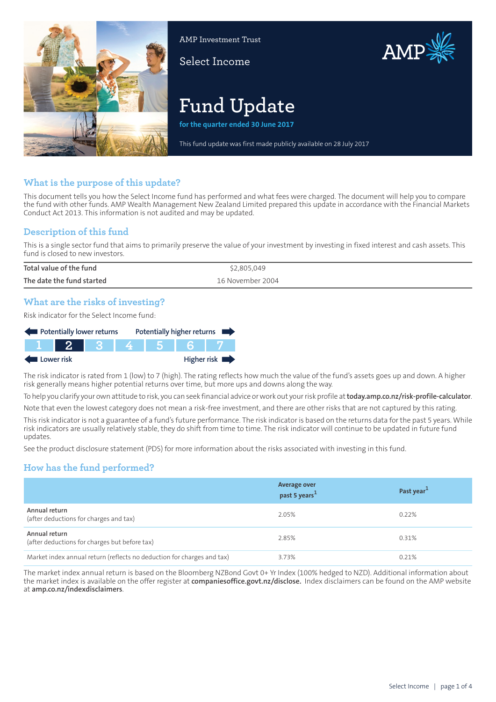

AMP Investment Trust

Select Income



# **Fund Update**

**for the quarter ended 30 June 2017**

This fund update was first made publicly available on 28 July 2017

## **What is the purpose of this update?**

This document tells you how the Select Income fund has performed and what fees were charged. The document will help you to compare the fund with other funds. AMP Wealth Management New Zealand Limited prepared this update in accordance with the Financial Markets Conduct Act 2013. This information is not audited and may be updated.

# **Description of this fund**

This is a single sector fund that aims to primarily preserve the value of your investment by investing in fixed interest and cash assets. This fund is closed to new investors.

| Total value of the fund   | \$2,805,049      |
|---------------------------|------------------|
| The date the fund started | 16 November 2004 |

# **What are the risks of investing?**

Risk indicator for the Select Income fund:

| Potentially lower returns |      |  |  | Potentially higher returns |                            |
|---------------------------|------|--|--|----------------------------|----------------------------|
|                           | $-2$ |  |  |                            |                            |
| Lower risk                |      |  |  |                            | Higher risk $\blacksquare$ |

The risk indicator is rated from 1 (low) to 7 (high). The rating reflects how much the value of the fund's assets goes up and down. A higher risk generally means higher potential returns over time, but more ups and downs along the way.

To help you clarify your own attitude to risk, you can seek financial advice orwork out yourrisk profile at**[today.amp.co.nz/risk-profile-calculator](http://today.amp.co.nz/risk-profile-calculator)**.

Note that even the lowest category does not mean a risk-free investment, and there are other risks that are not captured by this rating. This risk indicator is not a guarantee of a fund's future performance. The risk indicator is based on the returns data for the past 5 years. While

risk indicators are usually relatively stable, they do shift from time to time. The risk indicator will continue to be updated in future fund updates.

See the product disclosure statement (PDS) for more information about the risks associated with investing in this fund.

# **How has the fund performed?**

|                                                                        | <b>Average over</b><br>past 5 years <sup>1</sup> | Past year <sup>1</sup> |
|------------------------------------------------------------------------|--------------------------------------------------|------------------------|
| Annual return<br>(after deductions for charges and tax)                | 2.05%                                            | 0.22%                  |
| Annual return<br>(after deductions for charges but before tax)         | 2.85%                                            | 0.31%                  |
| Market index annual return (reflects no deduction for charges and tax) | 3.73%                                            | 0.21%                  |

The market index annual return is based on the Bloomberg NZBond Govt 0+ Yr Index (100% hedged to NZD). Additional information about the market index is available on the offer register at **[companiesoffice.govt.nz/disclose.](http://companiesoffice.govt.nz/disclose)** Index disclaimers can be found on the AMP website at **[amp.co.nz/indexdisclaimers](http://amp.co.nz/indexdisclaimers)**.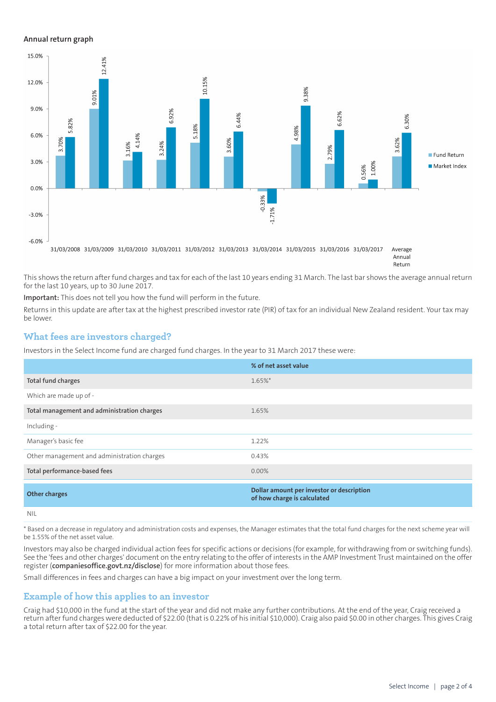#### **Annual return graph**



Return

This shows the return after fund charges and tax for each of the last 10 years ending 31 March. The last bar shows the average annual return for the last 10 years, up to 30 June 2017.

**Important:** This does not tell you how the fund will perform in the future.

Returns in this update are after tax at the highest prescribed investor rate (PIR) of tax for an individual New Zealand resident. Your tax may be lower.

#### **What fees are investors charged?**

Investors in the Select Income fund are charged fund charges. In the year to 31 March 2017 these were:

|                                             | % of net asset value                                                     |
|---------------------------------------------|--------------------------------------------------------------------------|
| Total fund charges                          | $1.65\%$ *                                                               |
| Which are made up of -                      |                                                                          |
| Total management and administration charges | 1.65%                                                                    |
| Including -                                 |                                                                          |
| Manager's basic fee                         | 1.22%                                                                    |
| Other management and administration charges | 0.43%                                                                    |
| Total performance-based fees                | $0.00\%$                                                                 |
| <b>Other charges</b>                        | Dollar amount per investor or description<br>of how charge is calculated |
| <b>NIL</b>                                  |                                                                          |

\* Based on a decrease in regulatory and administration costs and expenses, the Manager estimates that the total fund charges for the next scheme year will be 1.55% of the net asset value.

Investors may also be charged individual action fees for specific actions or decisions (for example, for withdrawing from or switching funds). See the 'fees and other charges' document on the entry relating to the offer of interests in the AMP Investment Trust maintained on the offer register (**[companiesoffice.govt.nz/disclose](http://companiesoffice.govt.nz/disclose)**) for more information about those fees.

Small differences in fees and charges can have a big impact on your investment over the long term.

#### **Example of how this applies to an investor**

Craig had \$10,000 in the fund at the start of the year and did not make any further contributions. At the end of the year, Craig received a return after fund charges were deducted of \$22.00 (that is 0.22% of his initial \$10,000). Craig also paid \$0.00 in other charges. This gives Craig a total return after tax of \$22.00 for the year.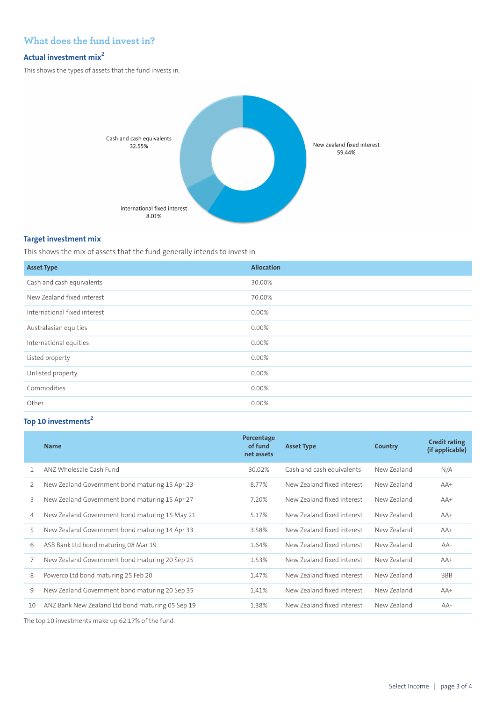# **What does the fund invest in?**

## **Actual investment mix<sup>2</sup>**

This shows the types of assets that the fund invests in.



#### **Target investment mix**

This shows the mix of assets that the fund generally intends to invest in.

| <b>Asset Type</b>            | <b>Allocation</b> |
|------------------------------|-------------------|
| Cash and cash equivalents    | 30.00%            |
| New Zealand fixed interest   | 70.00%            |
| International fixed interest | 0.00%             |
| Australasian equities        | 0.00%             |
| International equities       | 0.00%             |
| Listed property              | 0.00%             |
| Unlisted property            | 0.00%             |
| Commodities                  | 0.00%             |
| Other                        | 0.00%             |

# **Top 10 investments<sup>2</sup>**

|    | <b>Name</b>                                      | Percentage<br>of fund<br>net assets | <b>Asset Type</b>          | Country     | <b>Credit rating</b><br>(if applicable) |
|----|--------------------------------------------------|-------------------------------------|----------------------------|-------------|-----------------------------------------|
|    | ANZ Wholesale Cash Fund                          | 30.02%                              | Cash and cash equivalents  | New Zealand | N/A                                     |
| 2  | New Zealand Government bond maturing 15 Apr 23   | 8.77%                               | New Zealand fixed interest | New Zealand | $AA+$                                   |
| 3  | New Zealand Government bond maturing 15 Apr 27   | 7.20%                               | New Zealand fixed interest | New Zealand | $AA+$                                   |
| 4  | New Zealand Government bond maturing 15 May 21   | 5.17%                               | New Zealand fixed interest | New Zealand | $AA+$                                   |
| 5  | New Zealand Government bond maturing 14 Apr 33   | 3.58%                               | New Zealand fixed interest | New Zealand | $AA+$                                   |
| 6  | ASB Bank Ltd bond maturing 08 Mar 19             | 1.64%                               | New Zealand fixed interest | New Zealand | $AA-$                                   |
| 7  | New Zealand Government bond maturing 20 Sep 25   | 1.53%                               | New Zealand fixed interest | New Zealand | $AA+$                                   |
| 8  | Powerco Ltd bond maturing 25 Feb 20              | 1.47%                               | New 7ealand fixed interest | New Zealand | <b>BBB</b>                              |
| 9  | New Zealand Government bond maturing 20 Sep 35   | 1.41%                               | New Zealand fixed interest | New Zealand | $AA+$                                   |
| 10 | ANZ Bank New Zealand Ltd bond maturing 05 Sep 19 | 1.38%                               | New Zealand fixed interest | New Zealand | $AA-$                                   |

The top 10 investments make up 62.17% of the fund.